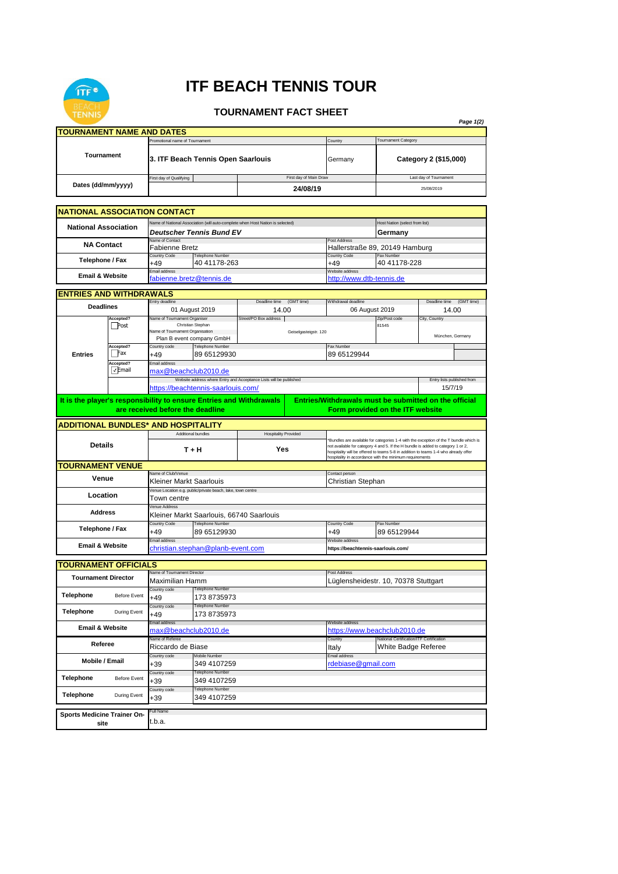

## **ITF BEACH TENNIS TOUR**

## **TOURNAMENT FACT SHEET**

| <b>TOURNAMENT NAME AND DATES</b><br><b>Fournament Category</b><br>Promotional name of Tournament<br>Country<br>Tournament<br>3. ITF Beach Tennis Open Saarlouis<br>Category 2 (\$15,000)<br>Germany<br>First day of Main Draw<br>First day of Qualifying<br>Last day of Tournament<br>Dates (dd/mm/yyyy)<br>24/08/19<br>25/08/2019<br><b>NATIONAL ASSOCIATION CONTACT</b><br>Name of National Association (will auto-complete when Host Nation is selected)<br>Host Nation (select from list)<br><b>National Association</b><br>Deutscher Tennis Bund EV<br>Germany<br>Name of Contact<br>Post Address<br><b>NA Contact</b><br><b>Fabienne Bretz</b><br>Hallerstraße 89, 20149 Hamburg<br>Country Code<br>Telephone Number<br>Country Code<br>Fax Number<br>Telephone / Fax<br>40 41178-228<br>40 41178-263<br>+49<br>+49<br>Email address<br>Website address<br><b>Email &amp; Website</b><br>fabienne.bretz@tennis.de<br>http://www.dtb-tennis.de<br><b>ENTRIES AND WITHDRAWALS</b><br>Deadline time (GMT time)<br>Entry deadline<br>Deadline time (GMT time)<br>Withdrawal deadline<br><b>Deadlines</b><br>01 August 2019<br>14.00<br>06 August 2019<br>14.00<br>Accepted?<br>Name of Tournament Organiser<br>Street/PO Box address<br>Zip/Post code<br>City, Country<br>Post<br>Christian Stephan<br>81545<br>Name of Tournament Organisation<br>Geiselgasteigstr. 120<br>München, Germany<br>Plan B event company GmbH<br>Accepted?<br>Telephone Number<br>Country code<br>Fax Number<br>Fax<br>89 65129930<br>89 65129944<br>$+49$<br><b>Entries</b><br>Email address<br>Accepted?<br>∣√Email<br>max@beachclub2010.de<br>Website address where Entry and Acceptance Lists will be published<br>Entry lists published from<br>https://beachtennis-saarlouis.com/<br>15/7/19<br>It is the player's responsibility to ensure Entries and Withdrawals<br>Entries/Withdrawals must be submitted on the official<br>are received before the deadline<br>Form provided on the ITF website<br><b>ADDITIONAL BUNDLES* AND HOSPITALITY</b><br>Additional bundles<br><b>Hospitality Provided</b><br>*Bundles are available for categories 1-4 with the exception of the T bundle which is<br><b>Details</b><br>not available for category 4 and 5. If the H bundle is added to category 1 or 2,<br>T + H<br>Yes<br>hospitality will be offered to teams 5-8 in addition to teams 1-4 who already offer<br>hospitality in accordance with the minimum requirements<br><b>TOURNAMENT VENUE</b><br>Name of Club/Venue<br>Contact person<br>Venue<br>Kleiner Markt Saarlouis<br>Christian Stephan<br>Venue Location e.g. public/private beach, lake, town centre<br>Location<br>Town centre<br>Venue Address<br><b>Address</b><br>Kleiner Markt Saarlouis, 66740 Saarlouis<br>Telephone Number<br><b>Country Code</b><br>Country Code<br>Fax Number<br>Telephone / Fax<br>89 65129930<br>89 65129944<br>+49<br>+49<br>Email address<br>Website address<br><b>Email &amp; Website</b><br>christian.stephan@planb-event.com<br>https://beachtennis-saarlouis.com/<br><b>TOURNAMENT OFFICIALS</b><br>Name of Tournament Director<br>Post Address<br><b>Tournament Director</b><br>Maximilian Hamm<br>Lüglensheidestr. 10, 70378 Stuttgart<br><b>Telephone Number</b><br>Country code<br>Telephone<br><b>Before Event</b><br>173 8735973<br>+49<br><b>Telephone Number</b><br>Country code<br><b>Telephone</b><br>During Event<br>173 8735973<br>+49<br>Email address<br>Website address<br><b>Email &amp; Website</b><br>https://www.beachclub2010.de<br>max@beachclub2010.de<br>National Certification/ITF Certification<br>Country<br>Referee<br>Riccardo de Biase<br>White Badge Referee<br>Italy<br>Email address<br>Country code<br>Mobile Number<br>Mobile / Email<br>349 4107259<br>rdebiase@gmail.com<br>+39<br><b>Telephone Number</b><br>Country code<br>Telephone<br><b>Before Event</b><br>349 4107259<br>+39<br>Telephone Number<br>Country code<br>Telephone<br>During Event<br>349 4107259<br>+39<br>ull Name<br>Sports Medicine Trainer On-<br>t.b.a.<br>site | <b>IENNIS</b> |  |  |  |  |  |  |  | Page 1(2) |  |  |
|-------------------------------------------------------------------------------------------------------------------------------------------------------------------------------------------------------------------------------------------------------------------------------------------------------------------------------------------------------------------------------------------------------------------------------------------------------------------------------------------------------------------------------------------------------------------------------------------------------------------------------------------------------------------------------------------------------------------------------------------------------------------------------------------------------------------------------------------------------------------------------------------------------------------------------------------------------------------------------------------------------------------------------------------------------------------------------------------------------------------------------------------------------------------------------------------------------------------------------------------------------------------------------------------------------------------------------------------------------------------------------------------------------------------------------------------------------------------------------------------------------------------------------------------------------------------------------------------------------------------------------------------------------------------------------------------------------------------------------------------------------------------------------------------------------------------------------------------------------------------------------------------------------------------------------------------------------------------------------------------------------------------------------------------------------------------------------------------------------------------------------------------------------------------------------------------------------------------------------------------------------------------------------------------------------------------------------------------------------------------------------------------------------------------------------------------------------------------------------------------------------------------------------------------------------------------------------------------------------------------------------------------------------------------------------------------------------------------------------------------------------------------------------------------------------------------------------------------------------------------------------------------------------------------------------------------------------------------------------------------------------------------------------------------------------------------------------------------------------------------------------------------------------------------------------------------------------------------------------------------------------------------------------------------------------------------------------------------------------------------------------------------------------------------------------------------------------------------------------------------------------------------------------------------------------------------------------------------------------------------------------------------------------------------------------------------------------------------------------------------------------------------------------------------------------------------------------------------------------------------------------------------------------------------------------------------------------------------------------------------------------------------------------------------------------------------|---------------|--|--|--|--|--|--|--|-----------|--|--|
|                                                                                                                                                                                                                                                                                                                                                                                                                                                                                                                                                                                                                                                                                                                                                                                                                                                                                                                                                                                                                                                                                                                                                                                                                                                                                                                                                                                                                                                                                                                                                                                                                                                                                                                                                                                                                                                                                                                                                                                                                                                                                                                                                                                                                                                                                                                                                                                                                                                                                                                                                                                                                                                                                                                                                                                                                                                                                                                                                                                                                                                                                                                                                                                                                                                                                                                                                                                                                                                                                                                                                                                                                                                                                                                                                                                                                                                                                                                                                                                                                                                                   |               |  |  |  |  |  |  |  |           |  |  |
|                                                                                                                                                                                                                                                                                                                                                                                                                                                                                                                                                                                                                                                                                                                                                                                                                                                                                                                                                                                                                                                                                                                                                                                                                                                                                                                                                                                                                                                                                                                                                                                                                                                                                                                                                                                                                                                                                                                                                                                                                                                                                                                                                                                                                                                                                                                                                                                                                                                                                                                                                                                                                                                                                                                                                                                                                                                                                                                                                                                                                                                                                                                                                                                                                                                                                                                                                                                                                                                                                                                                                                                                                                                                                                                                                                                                                                                                                                                                                                                                                                                                   |               |  |  |  |  |  |  |  |           |  |  |
|                                                                                                                                                                                                                                                                                                                                                                                                                                                                                                                                                                                                                                                                                                                                                                                                                                                                                                                                                                                                                                                                                                                                                                                                                                                                                                                                                                                                                                                                                                                                                                                                                                                                                                                                                                                                                                                                                                                                                                                                                                                                                                                                                                                                                                                                                                                                                                                                                                                                                                                                                                                                                                                                                                                                                                                                                                                                                                                                                                                                                                                                                                                                                                                                                                                                                                                                                                                                                                                                                                                                                                                                                                                                                                                                                                                                                                                                                                                                                                                                                                                                   |               |  |  |  |  |  |  |  |           |  |  |
|                                                                                                                                                                                                                                                                                                                                                                                                                                                                                                                                                                                                                                                                                                                                                                                                                                                                                                                                                                                                                                                                                                                                                                                                                                                                                                                                                                                                                                                                                                                                                                                                                                                                                                                                                                                                                                                                                                                                                                                                                                                                                                                                                                                                                                                                                                                                                                                                                                                                                                                                                                                                                                                                                                                                                                                                                                                                                                                                                                                                                                                                                                                                                                                                                                                                                                                                                                                                                                                                                                                                                                                                                                                                                                                                                                                                                                                                                                                                                                                                                                                                   |               |  |  |  |  |  |  |  |           |  |  |
|                                                                                                                                                                                                                                                                                                                                                                                                                                                                                                                                                                                                                                                                                                                                                                                                                                                                                                                                                                                                                                                                                                                                                                                                                                                                                                                                                                                                                                                                                                                                                                                                                                                                                                                                                                                                                                                                                                                                                                                                                                                                                                                                                                                                                                                                                                                                                                                                                                                                                                                                                                                                                                                                                                                                                                                                                                                                                                                                                                                                                                                                                                                                                                                                                                                                                                                                                                                                                                                                                                                                                                                                                                                                                                                                                                                                                                                                                                                                                                                                                                                                   |               |  |  |  |  |  |  |  |           |  |  |
|                                                                                                                                                                                                                                                                                                                                                                                                                                                                                                                                                                                                                                                                                                                                                                                                                                                                                                                                                                                                                                                                                                                                                                                                                                                                                                                                                                                                                                                                                                                                                                                                                                                                                                                                                                                                                                                                                                                                                                                                                                                                                                                                                                                                                                                                                                                                                                                                                                                                                                                                                                                                                                                                                                                                                                                                                                                                                                                                                                                                                                                                                                                                                                                                                                                                                                                                                                                                                                                                                                                                                                                                                                                                                                                                                                                                                                                                                                                                                                                                                                                                   |               |  |  |  |  |  |  |  |           |  |  |
|                                                                                                                                                                                                                                                                                                                                                                                                                                                                                                                                                                                                                                                                                                                                                                                                                                                                                                                                                                                                                                                                                                                                                                                                                                                                                                                                                                                                                                                                                                                                                                                                                                                                                                                                                                                                                                                                                                                                                                                                                                                                                                                                                                                                                                                                                                                                                                                                                                                                                                                                                                                                                                                                                                                                                                                                                                                                                                                                                                                                                                                                                                                                                                                                                                                                                                                                                                                                                                                                                                                                                                                                                                                                                                                                                                                                                                                                                                                                                                                                                                                                   |               |  |  |  |  |  |  |  |           |  |  |
|                                                                                                                                                                                                                                                                                                                                                                                                                                                                                                                                                                                                                                                                                                                                                                                                                                                                                                                                                                                                                                                                                                                                                                                                                                                                                                                                                                                                                                                                                                                                                                                                                                                                                                                                                                                                                                                                                                                                                                                                                                                                                                                                                                                                                                                                                                                                                                                                                                                                                                                                                                                                                                                                                                                                                                                                                                                                                                                                                                                                                                                                                                                                                                                                                                                                                                                                                                                                                                                                                                                                                                                                                                                                                                                                                                                                                                                                                                                                                                                                                                                                   |               |  |  |  |  |  |  |  |           |  |  |
|                                                                                                                                                                                                                                                                                                                                                                                                                                                                                                                                                                                                                                                                                                                                                                                                                                                                                                                                                                                                                                                                                                                                                                                                                                                                                                                                                                                                                                                                                                                                                                                                                                                                                                                                                                                                                                                                                                                                                                                                                                                                                                                                                                                                                                                                                                                                                                                                                                                                                                                                                                                                                                                                                                                                                                                                                                                                                                                                                                                                                                                                                                                                                                                                                                                                                                                                                                                                                                                                                                                                                                                                                                                                                                                                                                                                                                                                                                                                                                                                                                                                   |               |  |  |  |  |  |  |  |           |  |  |
|                                                                                                                                                                                                                                                                                                                                                                                                                                                                                                                                                                                                                                                                                                                                                                                                                                                                                                                                                                                                                                                                                                                                                                                                                                                                                                                                                                                                                                                                                                                                                                                                                                                                                                                                                                                                                                                                                                                                                                                                                                                                                                                                                                                                                                                                                                                                                                                                                                                                                                                                                                                                                                                                                                                                                                                                                                                                                                                                                                                                                                                                                                                                                                                                                                                                                                                                                                                                                                                                                                                                                                                                                                                                                                                                                                                                                                                                                                                                                                                                                                                                   |               |  |  |  |  |  |  |  |           |  |  |
|                                                                                                                                                                                                                                                                                                                                                                                                                                                                                                                                                                                                                                                                                                                                                                                                                                                                                                                                                                                                                                                                                                                                                                                                                                                                                                                                                                                                                                                                                                                                                                                                                                                                                                                                                                                                                                                                                                                                                                                                                                                                                                                                                                                                                                                                                                                                                                                                                                                                                                                                                                                                                                                                                                                                                                                                                                                                                                                                                                                                                                                                                                                                                                                                                                                                                                                                                                                                                                                                                                                                                                                                                                                                                                                                                                                                                                                                                                                                                                                                                                                                   |               |  |  |  |  |  |  |  |           |  |  |
|                                                                                                                                                                                                                                                                                                                                                                                                                                                                                                                                                                                                                                                                                                                                                                                                                                                                                                                                                                                                                                                                                                                                                                                                                                                                                                                                                                                                                                                                                                                                                                                                                                                                                                                                                                                                                                                                                                                                                                                                                                                                                                                                                                                                                                                                                                                                                                                                                                                                                                                                                                                                                                                                                                                                                                                                                                                                                                                                                                                                                                                                                                                                                                                                                                                                                                                                                                                                                                                                                                                                                                                                                                                                                                                                                                                                                                                                                                                                                                                                                                                                   |               |  |  |  |  |  |  |  |           |  |  |
|                                                                                                                                                                                                                                                                                                                                                                                                                                                                                                                                                                                                                                                                                                                                                                                                                                                                                                                                                                                                                                                                                                                                                                                                                                                                                                                                                                                                                                                                                                                                                                                                                                                                                                                                                                                                                                                                                                                                                                                                                                                                                                                                                                                                                                                                                                                                                                                                                                                                                                                                                                                                                                                                                                                                                                                                                                                                                                                                                                                                                                                                                                                                                                                                                                                                                                                                                                                                                                                                                                                                                                                                                                                                                                                                                                                                                                                                                                                                                                                                                                                                   |               |  |  |  |  |  |  |  |           |  |  |
|                                                                                                                                                                                                                                                                                                                                                                                                                                                                                                                                                                                                                                                                                                                                                                                                                                                                                                                                                                                                                                                                                                                                                                                                                                                                                                                                                                                                                                                                                                                                                                                                                                                                                                                                                                                                                                                                                                                                                                                                                                                                                                                                                                                                                                                                                                                                                                                                                                                                                                                                                                                                                                                                                                                                                                                                                                                                                                                                                                                                                                                                                                                                                                                                                                                                                                                                                                                                                                                                                                                                                                                                                                                                                                                                                                                                                                                                                                                                                                                                                                                                   |               |  |  |  |  |  |  |  |           |  |  |
|                                                                                                                                                                                                                                                                                                                                                                                                                                                                                                                                                                                                                                                                                                                                                                                                                                                                                                                                                                                                                                                                                                                                                                                                                                                                                                                                                                                                                                                                                                                                                                                                                                                                                                                                                                                                                                                                                                                                                                                                                                                                                                                                                                                                                                                                                                                                                                                                                                                                                                                                                                                                                                                                                                                                                                                                                                                                                                                                                                                                                                                                                                                                                                                                                                                                                                                                                                                                                                                                                                                                                                                                                                                                                                                                                                                                                                                                                                                                                                                                                                                                   |               |  |  |  |  |  |  |  |           |  |  |
|                                                                                                                                                                                                                                                                                                                                                                                                                                                                                                                                                                                                                                                                                                                                                                                                                                                                                                                                                                                                                                                                                                                                                                                                                                                                                                                                                                                                                                                                                                                                                                                                                                                                                                                                                                                                                                                                                                                                                                                                                                                                                                                                                                                                                                                                                                                                                                                                                                                                                                                                                                                                                                                                                                                                                                                                                                                                                                                                                                                                                                                                                                                                                                                                                                                                                                                                                                                                                                                                                                                                                                                                                                                                                                                                                                                                                                                                                                                                                                                                                                                                   |               |  |  |  |  |  |  |  |           |  |  |
|                                                                                                                                                                                                                                                                                                                                                                                                                                                                                                                                                                                                                                                                                                                                                                                                                                                                                                                                                                                                                                                                                                                                                                                                                                                                                                                                                                                                                                                                                                                                                                                                                                                                                                                                                                                                                                                                                                                                                                                                                                                                                                                                                                                                                                                                                                                                                                                                                                                                                                                                                                                                                                                                                                                                                                                                                                                                                                                                                                                                                                                                                                                                                                                                                                                                                                                                                                                                                                                                                                                                                                                                                                                                                                                                                                                                                                                                                                                                                                                                                                                                   |               |  |  |  |  |  |  |  |           |  |  |
|                                                                                                                                                                                                                                                                                                                                                                                                                                                                                                                                                                                                                                                                                                                                                                                                                                                                                                                                                                                                                                                                                                                                                                                                                                                                                                                                                                                                                                                                                                                                                                                                                                                                                                                                                                                                                                                                                                                                                                                                                                                                                                                                                                                                                                                                                                                                                                                                                                                                                                                                                                                                                                                                                                                                                                                                                                                                                                                                                                                                                                                                                                                                                                                                                                                                                                                                                                                                                                                                                                                                                                                                                                                                                                                                                                                                                                                                                                                                                                                                                                                                   |               |  |  |  |  |  |  |  |           |  |  |
|                                                                                                                                                                                                                                                                                                                                                                                                                                                                                                                                                                                                                                                                                                                                                                                                                                                                                                                                                                                                                                                                                                                                                                                                                                                                                                                                                                                                                                                                                                                                                                                                                                                                                                                                                                                                                                                                                                                                                                                                                                                                                                                                                                                                                                                                                                                                                                                                                                                                                                                                                                                                                                                                                                                                                                                                                                                                                                                                                                                                                                                                                                                                                                                                                                                                                                                                                                                                                                                                                                                                                                                                                                                                                                                                                                                                                                                                                                                                                                                                                                                                   |               |  |  |  |  |  |  |  |           |  |  |
|                                                                                                                                                                                                                                                                                                                                                                                                                                                                                                                                                                                                                                                                                                                                                                                                                                                                                                                                                                                                                                                                                                                                                                                                                                                                                                                                                                                                                                                                                                                                                                                                                                                                                                                                                                                                                                                                                                                                                                                                                                                                                                                                                                                                                                                                                                                                                                                                                                                                                                                                                                                                                                                                                                                                                                                                                                                                                                                                                                                                                                                                                                                                                                                                                                                                                                                                                                                                                                                                                                                                                                                                                                                                                                                                                                                                                                                                                                                                                                                                                                                                   |               |  |  |  |  |  |  |  |           |  |  |
|                                                                                                                                                                                                                                                                                                                                                                                                                                                                                                                                                                                                                                                                                                                                                                                                                                                                                                                                                                                                                                                                                                                                                                                                                                                                                                                                                                                                                                                                                                                                                                                                                                                                                                                                                                                                                                                                                                                                                                                                                                                                                                                                                                                                                                                                                                                                                                                                                                                                                                                                                                                                                                                                                                                                                                                                                                                                                                                                                                                                                                                                                                                                                                                                                                                                                                                                                                                                                                                                                                                                                                                                                                                                                                                                                                                                                                                                                                                                                                                                                                                                   |               |  |  |  |  |  |  |  |           |  |  |
|                                                                                                                                                                                                                                                                                                                                                                                                                                                                                                                                                                                                                                                                                                                                                                                                                                                                                                                                                                                                                                                                                                                                                                                                                                                                                                                                                                                                                                                                                                                                                                                                                                                                                                                                                                                                                                                                                                                                                                                                                                                                                                                                                                                                                                                                                                                                                                                                                                                                                                                                                                                                                                                                                                                                                                                                                                                                                                                                                                                                                                                                                                                                                                                                                                                                                                                                                                                                                                                                                                                                                                                                                                                                                                                                                                                                                                                                                                                                                                                                                                                                   |               |  |  |  |  |  |  |  |           |  |  |
|                                                                                                                                                                                                                                                                                                                                                                                                                                                                                                                                                                                                                                                                                                                                                                                                                                                                                                                                                                                                                                                                                                                                                                                                                                                                                                                                                                                                                                                                                                                                                                                                                                                                                                                                                                                                                                                                                                                                                                                                                                                                                                                                                                                                                                                                                                                                                                                                                                                                                                                                                                                                                                                                                                                                                                                                                                                                                                                                                                                                                                                                                                                                                                                                                                                                                                                                                                                                                                                                                                                                                                                                                                                                                                                                                                                                                                                                                                                                                                                                                                                                   |               |  |  |  |  |  |  |  |           |  |  |
|                                                                                                                                                                                                                                                                                                                                                                                                                                                                                                                                                                                                                                                                                                                                                                                                                                                                                                                                                                                                                                                                                                                                                                                                                                                                                                                                                                                                                                                                                                                                                                                                                                                                                                                                                                                                                                                                                                                                                                                                                                                                                                                                                                                                                                                                                                                                                                                                                                                                                                                                                                                                                                                                                                                                                                                                                                                                                                                                                                                                                                                                                                                                                                                                                                                                                                                                                                                                                                                                                                                                                                                                                                                                                                                                                                                                                                                                                                                                                                                                                                                                   |               |  |  |  |  |  |  |  |           |  |  |
|                                                                                                                                                                                                                                                                                                                                                                                                                                                                                                                                                                                                                                                                                                                                                                                                                                                                                                                                                                                                                                                                                                                                                                                                                                                                                                                                                                                                                                                                                                                                                                                                                                                                                                                                                                                                                                                                                                                                                                                                                                                                                                                                                                                                                                                                                                                                                                                                                                                                                                                                                                                                                                                                                                                                                                                                                                                                                                                                                                                                                                                                                                                                                                                                                                                                                                                                                                                                                                                                                                                                                                                                                                                                                                                                                                                                                                                                                                                                                                                                                                                                   |               |  |  |  |  |  |  |  |           |  |  |
|                                                                                                                                                                                                                                                                                                                                                                                                                                                                                                                                                                                                                                                                                                                                                                                                                                                                                                                                                                                                                                                                                                                                                                                                                                                                                                                                                                                                                                                                                                                                                                                                                                                                                                                                                                                                                                                                                                                                                                                                                                                                                                                                                                                                                                                                                                                                                                                                                                                                                                                                                                                                                                                                                                                                                                                                                                                                                                                                                                                                                                                                                                                                                                                                                                                                                                                                                                                                                                                                                                                                                                                                                                                                                                                                                                                                                                                                                                                                                                                                                                                                   |               |  |  |  |  |  |  |  |           |  |  |
|                                                                                                                                                                                                                                                                                                                                                                                                                                                                                                                                                                                                                                                                                                                                                                                                                                                                                                                                                                                                                                                                                                                                                                                                                                                                                                                                                                                                                                                                                                                                                                                                                                                                                                                                                                                                                                                                                                                                                                                                                                                                                                                                                                                                                                                                                                                                                                                                                                                                                                                                                                                                                                                                                                                                                                                                                                                                                                                                                                                                                                                                                                                                                                                                                                                                                                                                                                                                                                                                                                                                                                                                                                                                                                                                                                                                                                                                                                                                                                                                                                                                   |               |  |  |  |  |  |  |  |           |  |  |
|                                                                                                                                                                                                                                                                                                                                                                                                                                                                                                                                                                                                                                                                                                                                                                                                                                                                                                                                                                                                                                                                                                                                                                                                                                                                                                                                                                                                                                                                                                                                                                                                                                                                                                                                                                                                                                                                                                                                                                                                                                                                                                                                                                                                                                                                                                                                                                                                                                                                                                                                                                                                                                                                                                                                                                                                                                                                                                                                                                                                                                                                                                                                                                                                                                                                                                                                                                                                                                                                                                                                                                                                                                                                                                                                                                                                                                                                                                                                                                                                                                                                   |               |  |  |  |  |  |  |  |           |  |  |
|                                                                                                                                                                                                                                                                                                                                                                                                                                                                                                                                                                                                                                                                                                                                                                                                                                                                                                                                                                                                                                                                                                                                                                                                                                                                                                                                                                                                                                                                                                                                                                                                                                                                                                                                                                                                                                                                                                                                                                                                                                                                                                                                                                                                                                                                                                                                                                                                                                                                                                                                                                                                                                                                                                                                                                                                                                                                                                                                                                                                                                                                                                                                                                                                                                                                                                                                                                                                                                                                                                                                                                                                                                                                                                                                                                                                                                                                                                                                                                                                                                                                   |               |  |  |  |  |  |  |  |           |  |  |
|                                                                                                                                                                                                                                                                                                                                                                                                                                                                                                                                                                                                                                                                                                                                                                                                                                                                                                                                                                                                                                                                                                                                                                                                                                                                                                                                                                                                                                                                                                                                                                                                                                                                                                                                                                                                                                                                                                                                                                                                                                                                                                                                                                                                                                                                                                                                                                                                                                                                                                                                                                                                                                                                                                                                                                                                                                                                                                                                                                                                                                                                                                                                                                                                                                                                                                                                                                                                                                                                                                                                                                                                                                                                                                                                                                                                                                                                                                                                                                                                                                                                   |               |  |  |  |  |  |  |  |           |  |  |
|                                                                                                                                                                                                                                                                                                                                                                                                                                                                                                                                                                                                                                                                                                                                                                                                                                                                                                                                                                                                                                                                                                                                                                                                                                                                                                                                                                                                                                                                                                                                                                                                                                                                                                                                                                                                                                                                                                                                                                                                                                                                                                                                                                                                                                                                                                                                                                                                                                                                                                                                                                                                                                                                                                                                                                                                                                                                                                                                                                                                                                                                                                                                                                                                                                                                                                                                                                                                                                                                                                                                                                                                                                                                                                                                                                                                                                                                                                                                                                                                                                                                   |               |  |  |  |  |  |  |  |           |  |  |
|                                                                                                                                                                                                                                                                                                                                                                                                                                                                                                                                                                                                                                                                                                                                                                                                                                                                                                                                                                                                                                                                                                                                                                                                                                                                                                                                                                                                                                                                                                                                                                                                                                                                                                                                                                                                                                                                                                                                                                                                                                                                                                                                                                                                                                                                                                                                                                                                                                                                                                                                                                                                                                                                                                                                                                                                                                                                                                                                                                                                                                                                                                                                                                                                                                                                                                                                                                                                                                                                                                                                                                                                                                                                                                                                                                                                                                                                                                                                                                                                                                                                   |               |  |  |  |  |  |  |  |           |  |  |
|                                                                                                                                                                                                                                                                                                                                                                                                                                                                                                                                                                                                                                                                                                                                                                                                                                                                                                                                                                                                                                                                                                                                                                                                                                                                                                                                                                                                                                                                                                                                                                                                                                                                                                                                                                                                                                                                                                                                                                                                                                                                                                                                                                                                                                                                                                                                                                                                                                                                                                                                                                                                                                                                                                                                                                                                                                                                                                                                                                                                                                                                                                                                                                                                                                                                                                                                                                                                                                                                                                                                                                                                                                                                                                                                                                                                                                                                                                                                                                                                                                                                   |               |  |  |  |  |  |  |  |           |  |  |
|                                                                                                                                                                                                                                                                                                                                                                                                                                                                                                                                                                                                                                                                                                                                                                                                                                                                                                                                                                                                                                                                                                                                                                                                                                                                                                                                                                                                                                                                                                                                                                                                                                                                                                                                                                                                                                                                                                                                                                                                                                                                                                                                                                                                                                                                                                                                                                                                                                                                                                                                                                                                                                                                                                                                                                                                                                                                                                                                                                                                                                                                                                                                                                                                                                                                                                                                                                                                                                                                                                                                                                                                                                                                                                                                                                                                                                                                                                                                                                                                                                                                   |               |  |  |  |  |  |  |  |           |  |  |
|                                                                                                                                                                                                                                                                                                                                                                                                                                                                                                                                                                                                                                                                                                                                                                                                                                                                                                                                                                                                                                                                                                                                                                                                                                                                                                                                                                                                                                                                                                                                                                                                                                                                                                                                                                                                                                                                                                                                                                                                                                                                                                                                                                                                                                                                                                                                                                                                                                                                                                                                                                                                                                                                                                                                                                                                                                                                                                                                                                                                                                                                                                                                                                                                                                                                                                                                                                                                                                                                                                                                                                                                                                                                                                                                                                                                                                                                                                                                                                                                                                                                   |               |  |  |  |  |  |  |  |           |  |  |
|                                                                                                                                                                                                                                                                                                                                                                                                                                                                                                                                                                                                                                                                                                                                                                                                                                                                                                                                                                                                                                                                                                                                                                                                                                                                                                                                                                                                                                                                                                                                                                                                                                                                                                                                                                                                                                                                                                                                                                                                                                                                                                                                                                                                                                                                                                                                                                                                                                                                                                                                                                                                                                                                                                                                                                                                                                                                                                                                                                                                                                                                                                                                                                                                                                                                                                                                                                                                                                                                                                                                                                                                                                                                                                                                                                                                                                                                                                                                                                                                                                                                   |               |  |  |  |  |  |  |  |           |  |  |
|                                                                                                                                                                                                                                                                                                                                                                                                                                                                                                                                                                                                                                                                                                                                                                                                                                                                                                                                                                                                                                                                                                                                                                                                                                                                                                                                                                                                                                                                                                                                                                                                                                                                                                                                                                                                                                                                                                                                                                                                                                                                                                                                                                                                                                                                                                                                                                                                                                                                                                                                                                                                                                                                                                                                                                                                                                                                                                                                                                                                                                                                                                                                                                                                                                                                                                                                                                                                                                                                                                                                                                                                                                                                                                                                                                                                                                                                                                                                                                                                                                                                   |               |  |  |  |  |  |  |  |           |  |  |
|                                                                                                                                                                                                                                                                                                                                                                                                                                                                                                                                                                                                                                                                                                                                                                                                                                                                                                                                                                                                                                                                                                                                                                                                                                                                                                                                                                                                                                                                                                                                                                                                                                                                                                                                                                                                                                                                                                                                                                                                                                                                                                                                                                                                                                                                                                                                                                                                                                                                                                                                                                                                                                                                                                                                                                                                                                                                                                                                                                                                                                                                                                                                                                                                                                                                                                                                                                                                                                                                                                                                                                                                                                                                                                                                                                                                                                                                                                                                                                                                                                                                   |               |  |  |  |  |  |  |  |           |  |  |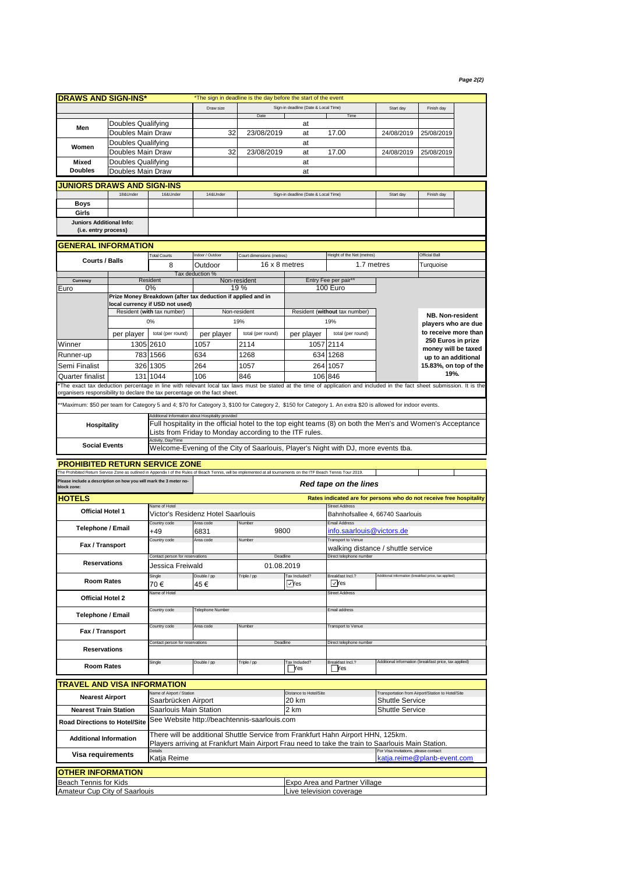## *Page 2(2)*

| <b>DRAWS AND SIGN-INS*</b>                                                                                                                                          |                           |                                                                                                                                                       | *The sign in deadline is the day before the start of the event |                                                         |                                      |                                                                                                                                                                        |                                                       |                                            |  |  |
|---------------------------------------------------------------------------------------------------------------------------------------------------------------------|---------------------------|-------------------------------------------------------------------------------------------------------------------------------------------------------|----------------------------------------------------------------|---------------------------------------------------------|--------------------------------------|------------------------------------------------------------------------------------------------------------------------------------------------------------------------|-------------------------------------------------------|--------------------------------------------|--|--|
|                                                                                                                                                                     |                           |                                                                                                                                                       | Draw size                                                      |                                                         | Sign-in deadline (Date & Local Time) |                                                                                                                                                                        | Start day                                             | Finish day                                 |  |  |
|                                                                                                                                                                     | Doubles Qualifying        |                                                                                                                                                       |                                                                | Date<br>at                                              |                                      | Time                                                                                                                                                                   |                                                       |                                            |  |  |
| Men                                                                                                                                                                 | Doubles Main Draw         |                                                                                                                                                       | 32                                                             | 23/08/2019                                              | at                                   | 17.00                                                                                                                                                                  | 24/08/2019                                            | 25/08/2019                                 |  |  |
|                                                                                                                                                                     | <b>Doubles Qualifying</b> |                                                                                                                                                       |                                                                |                                                         | at                                   |                                                                                                                                                                        |                                                       |                                            |  |  |
| Women                                                                                                                                                               | Doubles Main Draw         |                                                                                                                                                       | 32                                                             | 23/08/2019                                              | at                                   | 17.00                                                                                                                                                                  | 24/08/2019                                            | 25/08/2019                                 |  |  |
| Mixed                                                                                                                                                               | Doubles Qualifying        |                                                                                                                                                       |                                                                |                                                         | at                                   |                                                                                                                                                                        |                                                       |                                            |  |  |
| <b>Doubles</b><br>Doubles Main Draw                                                                                                                                 |                           |                                                                                                                                                       |                                                                |                                                         | at                                   |                                                                                                                                                                        |                                                       |                                            |  |  |
| <b>JUNIORS DRAWS AND SIGN-INS</b>                                                                                                                                   |                           |                                                                                                                                                       |                                                                |                                                         |                                      |                                                                                                                                                                        |                                                       |                                            |  |  |
|                                                                                                                                                                     | 18&Under                  | 16&Under                                                                                                                                              | 14&Under                                                       |                                                         | Sign-in deadline (Date & Local Time) |                                                                                                                                                                        | Start day                                             | Finish day                                 |  |  |
| Boys                                                                                                                                                                |                           |                                                                                                                                                       |                                                                |                                                         |                                      |                                                                                                                                                                        |                                                       |                                            |  |  |
| Girls                                                                                                                                                               |                           |                                                                                                                                                       |                                                                |                                                         |                                      |                                                                                                                                                                        |                                                       |                                            |  |  |
| Juniors Additional Info:                                                                                                                                            |                           |                                                                                                                                                       |                                                                |                                                         |                                      |                                                                                                                                                                        |                                                       |                                            |  |  |
| (i.e. entry process)                                                                                                                                                |                           |                                                                                                                                                       |                                                                |                                                         |                                      |                                                                                                                                                                        |                                                       |                                            |  |  |
| GENERAL INFORMATION                                                                                                                                                 |                           |                                                                                                                                                       |                                                                |                                                         |                                      |                                                                                                                                                                        |                                                       |                                            |  |  |
|                                                                                                                                                                     |                           | <b>Total Courts</b>                                                                                                                                   | ndoor / Outdoor                                                | Court dimensions (metres)                               |                                      | Height of the Net (metres)                                                                                                                                             |                                                       | <b>Official Ball</b>                       |  |  |
| <b>Courts / Balls</b>                                                                                                                                               |                           | 8                                                                                                                                                     | Outdoor                                                        |                                                         | 16 x 8 metres                        | 1.7 metres                                                                                                                                                             |                                                       | Turquoise                                  |  |  |
|                                                                                                                                                                     |                           |                                                                                                                                                       | Tax deduction %                                                |                                                         |                                      |                                                                                                                                                                        |                                                       |                                            |  |  |
| Currency<br>Euro                                                                                                                                                    |                           | Resident<br>0%                                                                                                                                        |                                                                | Non-resident<br>19 %                                    |                                      | Entry Fee per pair*<br>100 Euro                                                                                                                                        |                                                       |                                            |  |  |
|                                                                                                                                                                     |                           |                                                                                                                                                       | Prize Money Breakdown (after tax deduction if applied and in   |                                                         |                                      |                                                                                                                                                                        |                                                       |                                            |  |  |
|                                                                                                                                                                     |                           | local currency if USD not used)                                                                                                                       |                                                                |                                                         |                                      |                                                                                                                                                                        |                                                       |                                            |  |  |
|                                                                                                                                                                     |                           | Resident (with tax number)                                                                                                                            | Non-resident                                                   |                                                         | Resident (without tax number)        |                                                                                                                                                                        |                                                       | NB. Non-resident                           |  |  |
|                                                                                                                                                                     |                           | 0%                                                                                                                                                    |                                                                | 19%                                                     |                                      | 19%                                                                                                                                                                    |                                                       | players who are due                        |  |  |
|                                                                                                                                                                     | per player                | total (per round)                                                                                                                                     | per player                                                     | total (per round)                                       | per player                           | total (per round)                                                                                                                                                      |                                                       | to receive more than<br>250 Euros in prize |  |  |
| Winner                                                                                                                                                              |                           | 1305 2610                                                                                                                                             | 1057                                                           | 2114                                                    |                                      | 1057 2114                                                                                                                                                              |                                                       | money will be taxed                        |  |  |
| Runner-up                                                                                                                                                           |                           | 783 1566                                                                                                                                              | 634                                                            | 1268                                                    |                                      | 634 1268                                                                                                                                                               |                                                       | up to an additional                        |  |  |
| Semi Finalist                                                                                                                                                       |                           | 326 1305                                                                                                                                              | 264                                                            | 1057                                                    |                                      | 264 1057                                                                                                                                                               |                                                       | 15.83%, on top of the                      |  |  |
| Quarter finalist                                                                                                                                                    | 131                       | 1044                                                                                                                                                  | 106                                                            | 846                                                     | 106                                  | 846                                                                                                                                                                    |                                                       | 19%.                                       |  |  |
|                                                                                                                                                                     |                           |                                                                                                                                                       |                                                                |                                                         |                                      | The exact tax deduction percentage in line with relevant local tax laws must be stated at the time of application and included in the fact sheet submission. It is the |                                                       |                                            |  |  |
| organisers responsibility to declare the tax percentage on the fact sheet.                                                                                          |                           |                                                                                                                                                       |                                                                |                                                         |                                      |                                                                                                                                                                        |                                                       |                                            |  |  |
|                                                                                                                                                                     |                           |                                                                                                                                                       |                                                                |                                                         |                                      | **Maximum: \$50 per team for Category 5 and 4; \$70 for Category 3, \$100 for Category 2, \$150 for Category 1. An extra \$20 is allowed for indoor events.            |                                                       |                                            |  |  |
|                                                                                                                                                                     |                           |                                                                                                                                                       | Additional Information about Hospitality provided              |                                                         |                                      |                                                                                                                                                                        |                                                       |                                            |  |  |
| Hospitality                                                                                                                                                         |                           |                                                                                                                                                       |                                                                | Lists from Friday to Monday according to the ITF rules. |                                      | Full hospitality in the official hotel to the top eight teams (8) on both the Men's and Women's Acceptance                                                             |                                                       |                                            |  |  |
|                                                                                                                                                                     |                           | Activity, Day/Time                                                                                                                                    |                                                                |                                                         |                                      |                                                                                                                                                                        |                                                       |                                            |  |  |
| <b>Social Events</b>                                                                                                                                                |                           |                                                                                                                                                       |                                                                |                                                         |                                      | Welcome-Evening of the City of Saarlouis, Player's Night with DJ, more events tba.                                                                                     |                                                       |                                            |  |  |
| <b>PROHIBITED RETURN SERVICE ZONE</b>                                                                                                                               |                           |                                                                                                                                                       |                                                                |                                                         |                                      |                                                                                                                                                                        |                                                       |                                            |  |  |
| The Prohibited Return Service Zone as outlined in Appendix I of the Rules of Beach Tennis, will be implemented at all tournaments on the ITF Beach Tennis Tour 2019 |                           |                                                                                                                                                       |                                                                |                                                         |                                      |                                                                                                                                                                        |                                                       |                                            |  |  |
| Please include a description on how you will mark the 3 meter no-                                                                                                   |                           |                                                                                                                                                       |                                                                |                                                         |                                      | Red tape on the lines                                                                                                                                                  |                                                       |                                            |  |  |
| block zone:                                                                                                                                                         |                           |                                                                                                                                                       |                                                                |                                                         |                                      |                                                                                                                                                                        |                                                       |                                            |  |  |
| <b>HOTELS</b>                                                                                                                                                       |                           | Name of Hotel                                                                                                                                         |                                                                |                                                         |                                      | Rates indicated are for persons who do not receive free hospitality                                                                                                    |                                                       |                                            |  |  |
| <b>Official Hotel 1</b>                                                                                                                                             |                           |                                                                                                                                                       | Victor's Residenz Hotel Saarlouis                              |                                                         |                                      | <b>Street Address</b><br>Bahnhofsallee 4, 66740 Saarlouis                                                                                                              |                                                       |                                            |  |  |
|                                                                                                                                                                     |                           | Country code                                                                                                                                          | Area code<br>Number                                            |                                                         |                                      | <b>Email Address</b>                                                                                                                                                   |                                                       |                                            |  |  |
| <b>Telephone / Email</b>                                                                                                                                            |                           | +49                                                                                                                                                   | 6831                                                           | 9800                                                    |                                      | info.saarlouis@victors.de                                                                                                                                              |                                                       |                                            |  |  |
| Fax / Transport                                                                                                                                                     |                           | Country code                                                                                                                                          | Area code                                                      | Number                                                  |                                      | <b>Transport to Venue</b>                                                                                                                                              |                                                       |                                            |  |  |
|                                                                                                                                                                     |                           | Contact person for reservations                                                                                                                       | Deadline                                                       |                                                         |                                      | walking distance / shuttle service<br>Direct telephone number                                                                                                          |                                                       |                                            |  |  |
| <b>Reservations</b>                                                                                                                                                 |                           | Jessica Freiwald                                                                                                                                      |                                                                |                                                         | 01.08.2019                           |                                                                                                                                                                        |                                                       |                                            |  |  |
|                                                                                                                                                                     |                           | Single                                                                                                                                                | Double / pp                                                    | Triple / pp                                             | <b>Tax Included?</b>                 | Breakfast Incl.?                                                                                                                                                       | dditional information (breakfast price, tax applied)  |                                            |  |  |
| <b>Room Rates</b>                                                                                                                                                   |                           | 70€                                                                                                                                                   | 45 €                                                           |                                                         | √Yes                                 | $\nabla$ Yes                                                                                                                                                           |                                                       |                                            |  |  |
|                                                                                                                                                                     |                           | Name of Hotel                                                                                                                                         |                                                                |                                                         |                                      | <b>Street Address</b>                                                                                                                                                  |                                                       |                                            |  |  |
| Official Hotel 2                                                                                                                                                    |                           |                                                                                                                                                       |                                                                |                                                         | Email address                        |                                                                                                                                                                        |                                                       |                                            |  |  |
| Telephone / Email                                                                                                                                                   |                           | Country code                                                                                                                                          | <b>Telephone Number</b>                                        |                                                         |                                      |                                                                                                                                                                        |                                                       |                                            |  |  |
|                                                                                                                                                                     |                           | Country code                                                                                                                                          | Area code                                                      | Number                                                  |                                      | <b>Transport to Venue</b>                                                                                                                                              |                                                       |                                            |  |  |
| Fax / Transport                                                                                                                                                     |                           |                                                                                                                                                       |                                                                |                                                         |                                      |                                                                                                                                                                        |                                                       |                                            |  |  |
| <b>Reservations</b>                                                                                                                                                 |                           | Contact person for reservations                                                                                                                       |                                                                |                                                         | Deadline                             | Direct telephone number                                                                                                                                                |                                                       |                                            |  |  |
|                                                                                                                                                                     |                           |                                                                                                                                                       |                                                                |                                                         |                                      |                                                                                                                                                                        |                                                       |                                            |  |  |
| <b>Room Rates</b>                                                                                                                                                   |                           | Single                                                                                                                                                | Double / pp                                                    | Triple / pp                                             | Tax Included?<br><b>Nes</b>          | Breakfast Incl.?<br><b>Yes</b>                                                                                                                                         | Additional information (breakfast price, tax applied) |                                            |  |  |
|                                                                                                                                                                     |                           |                                                                                                                                                       |                                                                |                                                         |                                      |                                                                                                                                                                        |                                                       |                                            |  |  |
| <b>TRAVEL AND VISA INFORMATION</b>                                                                                                                                  |                           | Name of Airport / Station                                                                                                                             |                                                                |                                                         | Distance to Hotel/Site               |                                                                                                                                                                        | Transportation from Airport/Station to Hotel/Site     |                                            |  |  |
| <b>Nearest Airport</b>                                                                                                                                              |                           | Saarbrücken Airport                                                                                                                                   |                                                                |                                                         | 20 km<br><b>Shuttle Service</b>      |                                                                                                                                                                        |                                                       |                                            |  |  |
| <b>Nearest Train Station</b>                                                                                                                                        |                           | Saarlouis Main Station<br>2 km                                                                                                                        |                                                                |                                                         |                                      |                                                                                                                                                                        | <b>Shuttle Service</b>                                |                                            |  |  |
| Road Directions to Hotel/Site                                                                                                                                       |                           | See Website http://beachtennis-saarlouis.com                                                                                                          |                                                                |                                                         |                                      |                                                                                                                                                                        |                                                       |                                            |  |  |
|                                                                                                                                                                     |                           |                                                                                                                                                       |                                                                |                                                         |                                      |                                                                                                                                                                        |                                                       |                                            |  |  |
| <b>Additional Information</b>                                                                                                                                       |                           |                                                                                                                                                       |                                                                |                                                         |                                      | There will be additional Shuttle Service from Frankfurt Hahn Airport HHN, 125km.                                                                                       |                                                       |                                            |  |  |
| Visa requirements                                                                                                                                                   |                           | Players arriving at Frankfurt Main Airport Frau need to take the train to Saarlouis Main Station.<br>For Visa Invitations, please contact:<br>Details |                                                                |                                                         |                                      |                                                                                                                                                                        |                                                       |                                            |  |  |
|                                                                                                                                                                     |                           | Katja Reime                                                                                                                                           |                                                                |                                                         |                                      |                                                                                                                                                                        | katja.reime@planb-event.com                           |                                            |  |  |
| <b>OTHER INFORMATION</b>                                                                                                                                            |                           |                                                                                                                                                       |                                                                |                                                         |                                      |                                                                                                                                                                        |                                                       |                                            |  |  |
| Beach Tennis for Kids                                                                                                                                               |                           |                                                                                                                                                       |                                                                |                                                         |                                      | Expo Area and Partner Village                                                                                                                                          |                                                       |                                            |  |  |
| Amateur Cup City of Saarlouis                                                                                                                                       |                           |                                                                                                                                                       |                                                                |                                                         | Live television coverage             |                                                                                                                                                                        |                                                       |                                            |  |  |